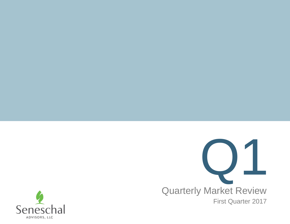

Quarterly Market Review First Quarter 2017

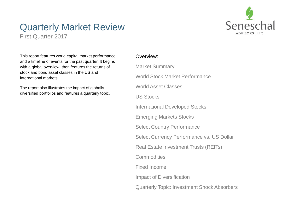

### Quarterly Market Review

First Quarter 2017

This report features world capital market performance and a timeline of events for the past quarter. It begins with a global overview, then features the returns of stock and bond asset classes in the US and international markets.

The report also illustrates the impact of globally diversified portfolios and features a quarterly topic.

#### Overview:

Market Summary World Stock Market Performance World Asset Classes US Stocks International Developed Stocks Emerging Markets Stocks Select Country Performance Select Currency Performance vs. US Dollar Real Estate Investment Trusts (REITs) **Commodities** Fixed Income Impact of Diversification Quarterly Topic: Investment Shock Absorbers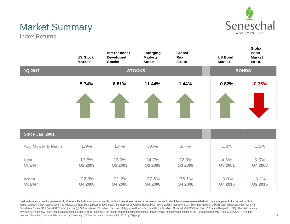

## Market Summary

Index Returns

|                        | <b>US Stock</b><br><b>Market</b> | <b>International</b><br>Developed<br><b>Stocks</b> | <b>Emerging</b><br><b>Markets</b><br><b>Stocks</b> | Global<br>Real<br><b>Estate</b> | <b>US Bond</b><br><b>Market</b> | <b>Global</b><br><b>Bond</b><br><b>Market</b><br>ex US |  |
|------------------------|----------------------------------|----------------------------------------------------|----------------------------------------------------|---------------------------------|---------------------------------|--------------------------------------------------------|--|
| 1Q 2017                |                                  |                                                    | <b>STOCKS</b>                                      |                                 |                                 | <b>BONDS</b>                                           |  |
|                        | 5.74%                            | 6.81%                                              | 11.44%                                             | 1.44%                           | 0.82%                           | $-0.35%$                                               |  |
| Since Jan. 2001        |                                  |                                                    |                                                    |                                 |                                 |                                                        |  |
| Avg. Quarterly Return  | 1.9%                             | 1.4%                                               | 3.0%                                               | 2.7%                            | 1.2%                            | 1.1%                                                   |  |
| <b>Best</b><br>Quarter | 16.8%<br>Q2 2009                 | 25.9%<br>Q2 2009                                   | 34.7%<br>Q2 2009                                   | 32.3%<br>Q3 2009                | 4.6%<br>Q3 2001                 | 5.5%<br>Q4 2008                                        |  |
| Worst<br>Quarter       | $-22.8%$<br>Q4 2008              | $-21.2%$<br>Q4 2008                                | $-27.6%$<br>Q4 2008                                | $-36.1%$<br>Q4 2008             | $-3.0%$<br>Q4 2016              | $-3.2%$<br>Q2 2015                                     |  |

Past performance is not a guarantee of future results. Indices are not available for direct investment. Index performance does not reflect the expenses associated with the management of an actual portfolio. Market segment (index representation) as follows: US Stock Market (Russell 3000 Index), International Developed Stocks (MSCI World ex USA Index [net div.]), Emerging Markets (MSCI Emerging Markets Index [net div.]), Global Real Estate (S&P Global REIT Index [net div.]), US Bond Market (Bloomberg Barclays US Aggregate Bond Index), and Global Bond ex US Market (Citi WGBI ex USA 1−30 Years [Hedged to USD]). The S&P data are provided by Standard & Poor's Index Services Group. Frank Russell Company is the source and owner of the trademarks, service marks, and copyrights related to the Russell Indexes. MSCI data © MSCI 2017, all rights reserved. Bloomberg Barclays data provided by Bloomberg. Citi fixed income indices copyright 2017 by Citigroup.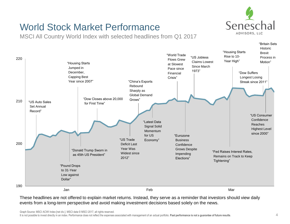

"Britain Sets

### World Stock Market Performance

MSCI All Country World Index with selected headlines from Q1 2017



These headlines are not offered to explain market returns. Instead, they serve as a reminder that investors should view daily events from a long-term perspective and avoid making investment decisions based solely on the news.

Graph Source: MSCI ACWI Index [net div.]. MSCI data © MSCI 2017, all rights reserved.

It is not possible to invest directly in an index. Performance does not reflect the expenses associated with management of an actual portfolio. **Past performance is not a guarantee of future results**.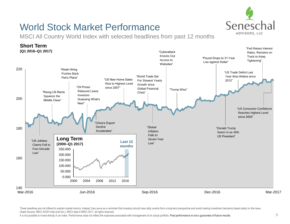

### World Stock Market Performance

MSCI All Country World Index with selected headlines from past 12 months



These headlines are not offered to explain market returns. Instead, they serve as a reminder that investors should view daily events from a long-term perspective and avoid making investment decisions based solely on the ne Graph Source: MSCI ACWI Index [net div.]. MSCI data © MSCI 2017, all rights reserved.

It is not possible to invest directly in an index. Performance does not reflect the expenses associated with management of an actual portfolio. **Past performance is not a guarantee of future results**.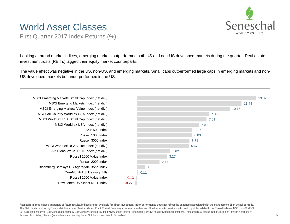

### World Asset Classes

First Quarter 2017 Index Returns (%)

Looking at broad market indices, emerging markets outperformed both US and non-US developed markets during the quarter. Real estate investment trusts (REITs) lagged their equity market counterparts.

The value effect was negative in the US, non-US, and emerging markets. Small caps outperformed large caps in emerging markets and non-US developed markets but underperformed in the US.



Past performance is not a quarantee of future results. Indices are not available for direct investment. Index performance does not reflect the expenses associated with the management of an actual portfolio. The S&P data is provided by Standard & Poor's Index Services Group. Frank Russell Company is the source and owner of the trademarks, service marks, and copyrights related to the Russell Indexes. MSCI data © MSCI 2017, all rights reserved. Dow Jones data (formerly Dow Jones Wilshire) provided by Dow Jones Indices. Bloomberg Barclays data provided by Bloomberg. Treasury bills © Stocks, Bonds, Bills, and Inflation Yearbook™, Ibbotson Associates, Chicago (annually updated work by Roger G. Ibbotson and Rex A. Sinquefield).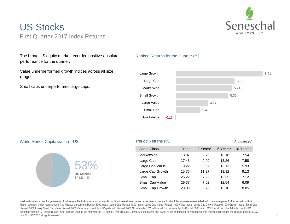

### US Stocks First Quarter 2017 Index Returns

The broad US equity market recorded positive absolute performance for the quarter.

Value underperformed growth indices across all size ranges.

Small caps underperformed large caps.

#### Ranked Returns for the Quarter (%)



#### World Market Capitalization—US



#### Period Returns (%) *\* Annualized*

#### Asset Class 1 Year 3 Years\* 5 Years\* 10 Years\* Marketwide 18.07 9.76 13.18 7.54 Large Cap 17.43 9.99 13.26 7.58 Large Cap Value 19.22 8.67 13.13 5.93 Large Cap Growth 15.76 11.27 13.32 9.13 Small Cap 26.22 7.22 12.35 7.12 Small Cap Value 29.37 7.62 12.54 6.09 Small Cap Growth 23.03 6.72 12.10 8.05

**Past performance is not a guarantee of future results. Indices are not available for direct investment. Index performance does not reflect the expenses associated with the management of an actual portfolio**. Market segment (index representation) as follows: Marketwide (Russell 3000 Index), Large Cap (Russell 1000 Index), Large Cap Value (Russell 1000 Value Index), Large Cap Growth (Russell 1000 Growth Index), Small Cap (Russell 2000 Index), Small Cap Value (Russell 2000 Value Index), and Small Cap Growth (Russell 2000 Growth Index). World Market Cap represented by Russell 3000 Index, MSCI World ex USA IMI Index, and MSCI Emerging Markets IMI Index. Russell 3000 Index is used as the proxy for the US market. Frank Russell Company is the source and owner of the trademarks, service marks, and copyrights related to the Russell Indexes. MSCI data © MSCI 2017, all rights reserved.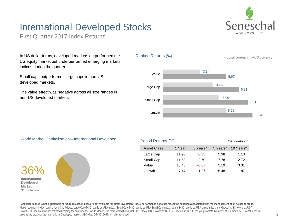## International Developed Stocks



First Quarter 2017 Index Returns

In US dollar terms, developed markets outperformed the US equity market but underperformed emerging markets indices during the quarter.

Small caps outperformed large caps in non-US developed markets.

The value effect was negative across all size ranges in non-US developed markets.



#### World Market Capitalization—International Developed



| vvoria iviarket Capitalization—international Developed i |  | Period Returns (%) |       |          | * Annualized |           |
|----------------------------------------------------------|--|--------------------|-------|----------|--------------|-----------|
|                                                          |  | <b>Asset Class</b> | Year  | 3 Years* | 5 Years*     | 10 Years* |
|                                                          |  | Large Cap          | 11.93 | 0.35     | 5.38         | 1.13      |
|                                                          |  | Small Cap          | 11.58 | 2.70     | 7.78         | 2.72      |
|                                                          |  | Value              | 16.46 | $-0.67$  | 5.19         | 0.31      |
| 2C                                                       |  | Growth             | 7.47  | 1.27     | 5.48         | 1.87      |

**Past performance is not a guarantee of future results. Indices are not available for direct investment. Index performance does not reflect the expenses associated with the management of an actual portfolio.** Market segment (index representation) as follows: Large Cap (MSCI World ex USA Index), Small Cap (MSCI World ex USA Small Cap Index), Value (MSCI World ex USA Value Index), and Growth (MSCI World ex USA Growth). All index returns are net of withholding tax on dividends. World Market Cap represented by Russell 3000 Index, MSCI World ex USA IMI Index, and MSCI Emerging Markets IMI Index. MSCI World ex USA IMI Index is used as the proxy for the International Developed market. MSCI data © MSCI 2017, all rights reserved.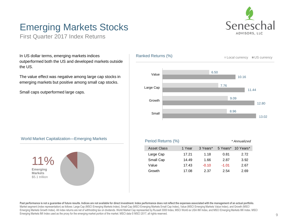

## Emerging Markets Stocks

First Quarter 2017 Index Returns

In US dollar terms, emerging markets indices outperformed both the US and developed markets outside the US.

The value effect was negative among large cap stocks in emerging markets but positive among small cap stocks.

Small caps outperformed large caps.



#### World Market Capitalization—Emerging Markets



| Period Returns (%) |        |          |          | * Annualized |
|--------------------|--------|----------|----------|--------------|
| <b>Asset Class</b> | 1 Year | 3 Years* | 5 Years* | 10 Years*    |
| Large Cap          | 17.21  | 1.18     | 0.81     | 2.72         |
| Small Cap          | 14.49  | 1.66     | 2.87     | 3.92         |
| Value              | 17.43  | $-0.10$  | $-1.01$  | 2.67         |
| Growth             | 17.08  | 2.37     | 2.54     | 2.69         |

Past performance is not a guarantee of future results. Indices are not available for direct investment. Index performance does not reflect the expenses associated with the management of an actual portfolio. Market segment (index representation) as follows: Large Cap (MSCI Emerging Markets Index), Small Cap (MSCI Emerging Markets Small Cap Index), Value (MSCI Emerging Markets Value Index), and Growth (MSCI Emerging Markets Growth Index). All index returns are net of withholding tax on dividends. World Market Cap represented by Russell 3000 Index, MSCI World ex USA IMI Index, and MSCI Emerging Markets IMI Index. MSCI Emerging Markets IMI Index used as the proxy for the emerging market portion of the market. MSCI data © MSCI 2017, all rights reserved.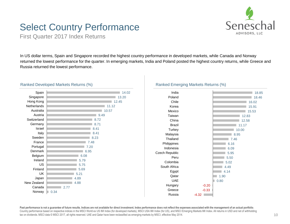# Senesch ADVISORS, LLC

### Select Country Performance

First Quarter 2017 Index Returns

In US dollar terms, Spain and Singapore recorded the highest country performance in developed markets, while Canada and Norway returned the lowest performance for the quarter. In emerging markets, India and Poland posted the highest country returns, while Greece and Russia returned the lowest performance.

#### Ranked Developed Markets Returns (%)

| Spain              |      |      |      |      | 14.02 |
|--------------------|------|------|------|------|-------|
| Singapore          |      |      |      |      | 13.20 |
| Hong Kong          |      |      |      |      | 12.45 |
| <b>Netherlands</b> |      |      |      |      | 11.12 |
| Australia          |      |      |      |      | 10.57 |
| Austria            |      |      |      | 9.49 |       |
| Switzerland        |      |      |      | 8.72 |       |
| Germany            |      |      |      | 8.71 |       |
| Israel             |      |      |      | 8.41 |       |
| Italy              |      |      |      | 8.41 |       |
| Sweden             |      |      |      | 8.23 |       |
| France             |      |      |      | 7.48 |       |
| Portugal           |      |      |      | 7.20 |       |
| Denmark            |      |      |      | 6.95 |       |
| Belgium            |      |      | 6.08 |      |       |
| Ireland            |      |      | 5.79 |      |       |
| US                 |      |      | 5.75 |      |       |
| Finland            |      |      | 5.69 |      |       |
| <b>UK</b>          |      |      | 5.21 |      |       |
| Japan              |      |      | 4.89 |      |       |
| New Zealand        |      |      | 4.88 |      |       |
| Canada             |      | 2.77 |      |      |       |
|                    | 0.34 |      |      |      |       |
| Norway             |      |      |      |      |       |

#### Ranked Emerging Markets Returns (%)



**Past performance is not a guarantee of future results. Indices are not available for direct investment. Index performance does not reflect the expenses associated with the management of an actual portfolio**. Country performance based on respective indices in the MSCI World ex US IMI Index (for developed markets), MSCI USA IMI Index (for US), and MSCI Emerging Markets IMI Index. All returns in USD and net of withholding tax on dividends. MSCI data © MSCI 2017, all rights reserved. UAE and Qatar have been reclassified as emerging markets by MSCI, effective May 2014.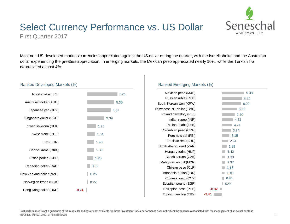

### Select Currency Performance vs. US Dollar

First Quarter 2017

Most non-US developed markets currencies appreciated against the US dollar during the quarter, with the Israeli shekel and the Australian dollar experiencing the greatest appreciation. In emerging markets, the Mexican peso appreciated nearly 10%, while the Turkish lira depreciated almost 4%.



#### Ranked Developed Markets (%)

#### Ranked Emerging Markets (%)

| Mexican peso (MXP)        |         | 9.38 |
|---------------------------|---------|------|
| Russian ruble (RUB)       |         | 8.35 |
| South Korean won (KRW)    |         | 8.00 |
| Taiwanese NT dollar (TWD) |         | 6.22 |
| Poland new zloty (PLZ)    |         | 5.36 |
| Indian rupee (INR)        |         | 4.52 |
| Thailand baht (THB)       |         | 4.21 |
| Colombian peso (COP)      |         | 3.74 |
| Peru new sol (PEI)        |         | 3.15 |
| Brazilian real (BRC)      |         | 2.51 |
| South African rand (ZAR)  |         | 1.99 |
| Hungary forint (HUF)      |         | 1.42 |
| Czech koruna (CZK)        |         | 1.39 |
| Malaysian ringgit (MYR)   |         | 1.37 |
| Chilean peso (CLP)        |         | 1.16 |
| Indonesia rupiah (IDR)    |         | 1.10 |
| Chinese yuan (CNY)        |         | 0.84 |
| Egyptian pound (EGP)      |         | 0.44 |
| Philippine peso (PHP)     | $-0.92$ |      |
| Turkish new lira (TRY)    | $-3.41$ |      |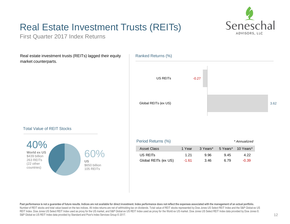

## Real Estate Investment Trusts (REITs)

First Quarter 2017 Index Returns

Real estate investment trusts (REITs) lagged their equity market counterparts.



#### Total Value of REIT Stocks



| Period Returns (%)<br>* Annualized |         |          |      |                    |  |
|------------------------------------|---------|----------|------|--------------------|--|
| Asset Class                        | 1 Year  | 3 Years* |      | 5 Years* 10 Years* |  |
| US REITS                           | 1 21    | 9.96     | 9.45 | 4.22               |  |
| Global REITs (ex US)               | $-1.61$ | 3.46     | ճ 79 | $-0.39$            |  |

Past performance is not a guarantee of future results. Indices are not available for direct investment. Index performance does not reflect the expenses associated with the management of an actual portfolio. Number of REIT stocks and total value based on the two indices. All index returns are net of withholding tax on dividends. Total value of REIT stocks represented by Dow Jones US Select REIT Index and the S&P Global ex US REIT Index. Dow Jones US Select REIT Index used as proxy for the US market, and S&P Global ex US REIT Index used as proxy for the World ex US market. Dow Jones US Select REIT Index data provided by Dow Jones ©. S&P Global ex US REIT Index data provided by Standard and Poor's Index Services Group © 2017.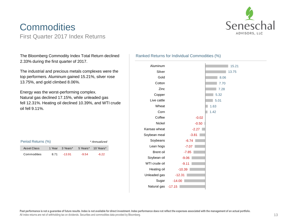

### **Commodities** First Quarter 2017 Index Returns

The Bloomberg Commodity Index Total Return declined 2.33% during the first quarter of 2017.

The industrial and precious metals complexes were the top performers. Aluminum gained 15.21%, silver rose 13.75%, and gold climbed 8.06%.

Energy was the worst-performing complex. Natural gas declined 17.15%, while unleaded gas fell 12.31%. Heating oil declined 10.39%, and WTI crude oil fell 9.11%.

| Period Returns (%)<br>* Annualized |      |                 |         |                    |
|------------------------------------|------|-----------------|---------|--------------------|
| Asset Class                        |      | 1 Year 3 Years* |         | 5 Years* 10 Years* |
| Commodities                        | 8.71 | $-13.91$        | $-9.54$ | $-6.22$            |

#### Ranked Returns for Individual Commodities (%)

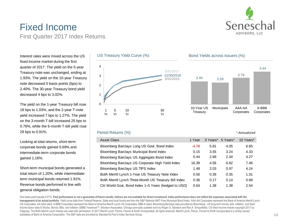

*\* Annualized*

### Fixed Income First Quarter 2017 Index Returns

Interest rates were mixed across the US fixed income market during the first quarter of 2017. The yield on the 5-year Treasury note was unchanged, ending at 1.93%. The yield on the 10-year Treasury note decreased 5 basis points (bps) to 2.40%. The 30-year Treasury bond yield decreased 4 bps to 3.02%.

The yield on the 1-year Treasury bill rose 18 bps to 1.03%, and the 2-year T-note yield increased 7 bps to 1.27%. The yield on the 3-month T-bill increased 25 bps to 0.76%, while the 6-month T-bill yield rose 29 bps to 0.91%.

Looking at total returns, short-term corporate bonds gained 0.69% and intermediate-term corporate bonds gained 1.16%.

Short-term municipal bonds generated a total return of 1.20%, while intermediateterm municipal bonds returned 1.91%. Revenue bonds performed in line with general obligation bonds.



#### Bond Yields across Issuers (%)



#### Period Returns (%)

#### Asset Class 1 Year 3 Years\* 5 Years\* 10 Years\* 10 Years\* Bloomberg Barclays Long US Govt. Bond Index  $-4.78$  5.81  $4.05$  6.65 Bloomberg Barclays Municipal Bond Index 0.15 3.55 3.24 4.33 Bloomberg Barclays US Aggregate Bond Index 0.44 2.68 2.34 4.27 Bloomberg Barclays US Corporate High Yield Index 16.39 4.56 6.82 7.46 Bloomberg Barclays US TIPS Index 1.48 2.03 0.97 4.24 BofA Merrill Lynch 1-Year US Treasury Note Index  $0.56$   $0.39$   $0.35$  1.31 BofA Merrill Lynch Three-Month US Treasury Bill Index 0.36 0.17 0.14 0.68 Citi World Govt. Bond Index 1–5 Years (hedged to USD) 0.64 1.38 1.38 2.54

One basis point equals 0.01%. Past performance is not a guarantee of future results. Indices are not available for direct investment. Index performance does not reflect the expenses associated with the **management of an actual portfolio.** Yield curve data from Federal Reserve. State and local bonds are from the S&P National AMT-Free Municipal Bond Index. AAA-AA Corporates represent the Bank of America Merrill Lynch US Corporates, AA-AAA rated. A-BBB Corporates represent the Bank of America Merrill Lynch US Corporates, BBB-A rated. Bloomberg Barclays data provided by Bloomberg. US long-term bonds, bills, inflation, and fixed income factor data © Stocks, Bonds, Bills, and Inflation (SBBI) Yearbook™, Ibbotson Associates, Chicago (annually updated work by Roger G. Ibbotson and Rex A. Sinquefield). Citi fixed income indices copyright 2017 by Citigroup. The BofA Merrill Lynch Indices are used with permission; © 2017 Merrill Lynch, Pierce, Fenner & Smith Incorporated; all rights reserved. Merrill Lynch, Pierce, Fenner & Smith Incorporated is a wholly owned subsidiary of Bank of America Corporation. The S&P data are provided by Standard & Poor's Index Services Group.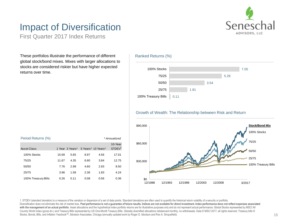

## Impact of Diversification

First Quarter 2017 Index Returns

These portfolios illustrate the performance of different global stock/bond mixes. Mixes with larger allocations to stocks are considered riskier but have higher expected returns over time.



| Period Returns (%)<br>* Annualized |       |                 |      |                    |                               |
|------------------------------------|-------|-----------------|------|--------------------|-------------------------------|
| Asset Class                        |       | 1 Year 3 Years* |      | 5 Years* 10 Years* | 10-Year<br>STDEV <sup>1</sup> |
| 100% Stocks                        | 15.69 | 5.65            | 8.97 | 4.56               | 17.01                         |
| 75/25                              | 11.67 | 4.35            | 6.80 | 3.84               | 12.75                         |
| 50/50                              | 7.76  | 2.99            | 4.60 | 2.93               | 8.50                          |
| 25/75                              | 3.96  | 1.58            | 2.36 | 1.83               | 4.24                          |
| 100% Treasury Bills                | 0.26  | 0.11            | 0.08 | 0.56               | 0.36                          |

1. STDEV (standard deviation) is a measure of the variation or dispersion of a set of data points. Standard deviations are often used to quantify the historical return volatility of a security or portfolio. Diversification does not eliminate the risk of market loss. Past performance is not a quarantee of future results. Indices are not available for direct investment. Index performance does not reflect expenses associated with the management of an actual portfolio. Asset allocations and the hypothetical index portfolio returns are for illustrative purposes only and do not represent actual performance. Global Stocks represented by MSCI All Country World Index (gross div.) and Treasury Bills represented by US One-Month Treasury Bills. Globally diversified allocations rebalanced monthly, no withdrawals. Data © MSCI 2017, all rights reserved. Treasury bills © Stocks, Bonds, Bills, and Inflation Yearbook™, Ibbotson Associates, Chicago (annually updated work by Roger G. Ibbotson and Rex A. Sinquefield).